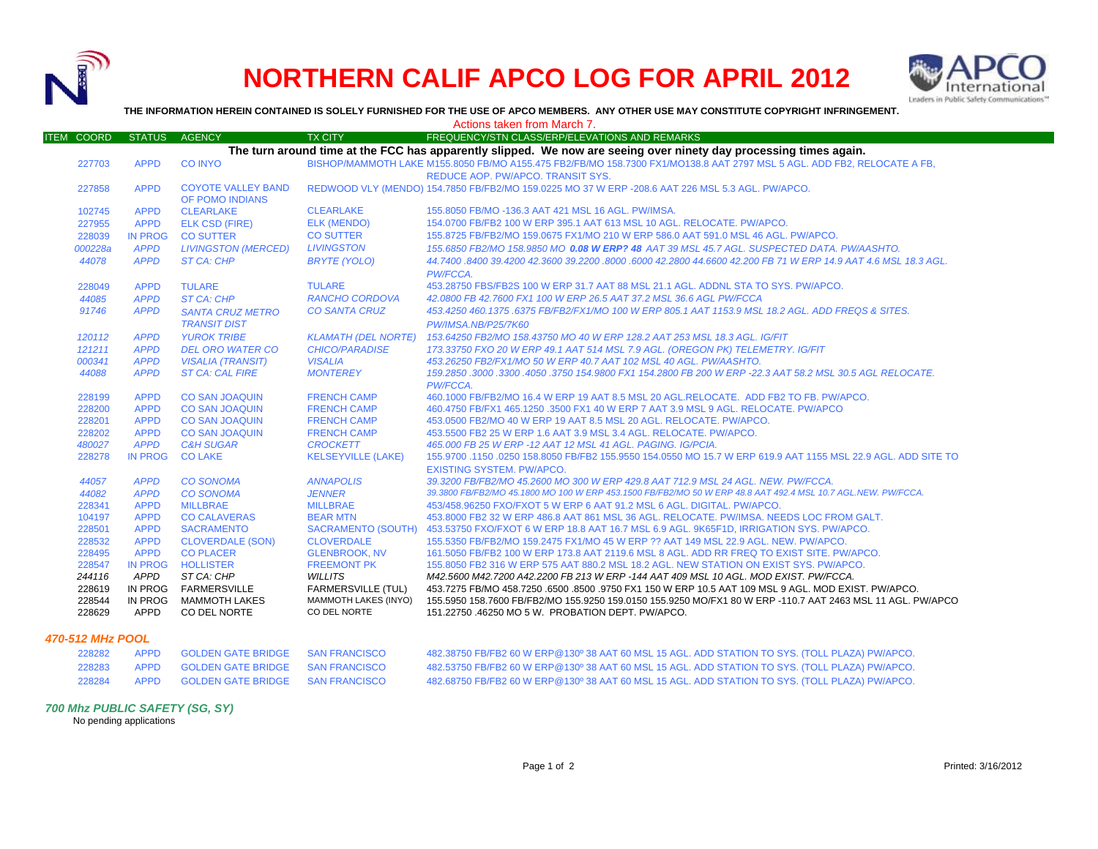

## **NORTHERN CALIF APCO LOG FOR APRIL 2012**



**THE INFORMATION HEREIN CONTAINED IS SOLELY FURNISHED FOR THE USE OF APCO MEMBERS. ANY OTHER USE MAY CONSTITUTE COPYRIGHT INFRINGEMENT.**

|                            |                            |                                                             |                                                                          | Actions taken from March 7.                                                                                                                                                                                                                                            |
|----------------------------|----------------------------|-------------------------------------------------------------|--------------------------------------------------------------------------|------------------------------------------------------------------------------------------------------------------------------------------------------------------------------------------------------------------------------------------------------------------------|
| <b>ITEM COORD</b>          | <b>STATUS</b>              | <b>AGENCY</b>                                               | <b>TX CITY</b>                                                           | FREQUENCY/STN CLASS/ERP/ELEVATIONS AND REMARKS                                                                                                                                                                                                                         |
|                            |                            |                                                             |                                                                          | The turn around time at the FCC has apparently slipped. We now are seeing over ninety day processing times again.                                                                                                                                                      |
| 227703                     | <b>APPD</b>                | <b>CO INYO</b>                                              |                                                                          | BISHOP/MAMMOTH LAKE M155.8050 FB/MO A155.475 FB2/FB/MO 158.7300 FX1/MO138.8 AAT 2797 MSL 5 AGL. ADD FB2, RELOCATE A FB,                                                                                                                                                |
|                            |                            |                                                             |                                                                          | REDUCE AOP. PW/APCO. TRANSIT SYS.                                                                                                                                                                                                                                      |
| 227858                     | <b>APPD</b>                | <b>COYOTE VALLEY BAND</b><br>OF POMO INDIANS                |                                                                          | REDWOOD VLY (MENDO) 154.7850 FB/FB2/MO 159.0225 MO 37 W ERP -208.6 AAT 226 MSL 5.3 AGL. PW/APCO.                                                                                                                                                                       |
| 102745                     | <b>APPD</b>                | <b>CLEARLAKE</b>                                            | <b>CLEARLAKE</b>                                                         | 155,8050 FB/MO -136.3 AAT 421 MSL 16 AGL, PW/IMSA.                                                                                                                                                                                                                     |
| 227955                     | <b>APPD</b>                | <b>ELK CSD (FIRE)</b>                                       | ELK (MENDO)                                                              | 154.0700 FB/FB2 100 W ERP 395.1 AAT 613 MSL 10 AGL, RELOCATE, PW/APCO,                                                                                                                                                                                                 |
| 228039                     | <b>IN PROG</b>             | <b>CO SUTTER</b>                                            | <b>CO SUTTER</b>                                                         | 155.8725 FB/FB2/MO 159.0675 FX1/MO 210 W ERP 586.0 AAT 591.0 MSL 46 AGL. PW/APCO.                                                                                                                                                                                      |
| 000228a                    | <b>APPD</b>                | <b>LIVINGSTON (MERCED)</b>                                  | <b>LIVINGSTON</b>                                                        | 155.6850 FB2/MO 158.9850 MO 0 <b>.08 W ERP? 48</b> AAT 39 MSL 45.7 AGL. SUSPECTED DATA. PW/AASHTO.                                                                                                                                                                     |
| 44078                      | <b>APPD</b>                | ST CA: CHP                                                  | <b>BRYTE (YOLO)</b>                                                      | 44.7400 .8400 39.4200 42.3600 39.2200 .8000 .6000 42.2800 44.6600 42.200 FB 71 W ERP 14.9 AAT 4.6 MSL 18.3 AGL<br>PW/FCCA.                                                                                                                                             |
| 228049                     | <b>APPD</b>                | <b>TULARE</b>                                               | <b>TULARE</b>                                                            | 453.28750 FBS/FB2S 100 W ERP 31.7 AAT 88 MSL 21.1 AGL, ADDNL STA TO SYS, PW/APCO,                                                                                                                                                                                      |
| 44085                      | <b>APPD</b>                | ST CA: CHP                                                  | <b>RANCHO CORDOVA</b>                                                    | 42.0800 FB 42.7600 FX1 100 W ERP 26.5 AAT 37.2 MSL 36.6 AGL PW/FCCA                                                                                                                                                                                                    |
| 91746                      | <b>APPD</b>                | <b>SANTA CRUZ METRO</b>                                     | <b>CO SANTA CRUZ</b>                                                     | 453.4250 460.1375.6375 FB/FB2/FX1/MO 100 W ERP 805.1 AAT 1153.9 MSL 18.2 AGL. ADD FREQS & SITES.                                                                                                                                                                       |
|                            |                            | <b>TRANSIT DIST</b>                                         |                                                                          | PW/IMSA.NB/P25/7K60                                                                                                                                                                                                                                                    |
| 120112                     | <b>APPD</b>                | <b>YUROK TRIBE</b>                                          |                                                                          | KLAMATH (DEL NORTE) 153.64250 FB2/MO 158.43750 MO 40 W ERP 128.2 AAT 253 MSL 18.3 AGL. IG/FIT                                                                                                                                                                          |
| 121211                     | <b>APPD</b>                | <b>DEL ORO WATER CO</b>                                     | <b>CHICO/PARADISE</b>                                                    | 173.33750 FXO 20 W ERP 49.1 AAT 514 MSL 7.9 AGL. (OREGON PK) TELEMETRY. IG/FIT                                                                                                                                                                                         |
| 000341                     | <b>APPD</b>                | <b>VISALIA (TRANSIT)</b>                                    | <b>VISALIA</b>                                                           | 453.26250 FB2/FX1/MO 50 W ERP 40.7 AAT 102 MSL 40 AGL. PW/AASHTO.                                                                                                                                                                                                      |
| 44088                      | <b>APPD</b>                | <b>ST CA: CAL FIRE</b>                                      | <b>MONTEREY</b>                                                          | 159.2850 .3000 .3300 .4050 .3750 154.9800 FX1 154.2800 FB 200 W ERP -22.3 AAT 58.2 MSL 30.5 AGL RELOCATE.<br><b>PW/FCCA.</b>                                                                                                                                           |
| 228199                     | <b>APPD</b>                | <b>CO SAN JOAQUIN</b>                                       | <b>FRENCH CAMP</b>                                                       | 460.1000 FB/FB2/MO 16.4 W ERP 19 AAT 8.5 MSL 20 AGL.RELOCATE. ADD FB2 TO FB. PW/APCO.                                                                                                                                                                                  |
| 228200                     | <b>APPD</b>                | <b>CO SAN JOAQUIN</b>                                       | <b>FRENCH CAMP</b>                                                       | 460.4750 FB/FX1 465.1250 .3500 FX1 40 W ERP 7 AAT 3.9 MSL 9 AGL, RELOCATE, PW/APCO                                                                                                                                                                                     |
| 228201                     | <b>APPD</b>                | <b>CO SAN JOAQUIN</b>                                       | <b>FRENCH CAMP</b>                                                       | 453.0500 FB2/MO 40 W ERP 19 AAT 8.5 MSL 20 AGL. RELOCATE. PW/APCO.                                                                                                                                                                                                     |
| 228202                     | <b>APPD</b>                | <b>CO SAN JOAQUIN</b>                                       | <b>FRENCH CAMP</b>                                                       | 453,5500 FB2 25 W ERP 1.6 AAT 3.9 MSL 3.4 AGL, RELOCATE, PW/APCO.                                                                                                                                                                                                      |
| 480027                     | <b>APPD</b>                | <b>C&amp;H SUGAR</b>                                        | <b>CROCKETT</b>                                                          | 465.000 FB 25 W ERP -12 AAT 12 MSL 41 AGL. PAGING. IG/PCIA.                                                                                                                                                                                                            |
| 228278                     | <b>IN PROG</b>             | <b>CO LAKE</b>                                              | <b>KELSEYVILLE (LAKE)</b>                                                | 155.9700 .1150 .0250 158.8050 FB/FB2 155.9550 154.0550 MO 15.7 W ERP 619.9 AAT 1155 MSL 22.9 AGL. ADD SITE TO<br><b>EXISTING SYSTEM, PW/APCO.</b>                                                                                                                      |
| 44057                      | <b>APPD</b>                | <b>CO SONOMA</b>                                            | <b>ANNAPOLIS</b>                                                         | 39.3200 FB/FB2/MO 45.2600 MO 300 W ERP 429.8 AAT 712.9 MSL 24 AGL, NEW, PW/FCCA.                                                                                                                                                                                       |
| 44082                      | <b>APPD</b>                | <b>CO SONOMA</b>                                            | <b>JENNER</b>                                                            | 39.3800 FB/FB2/MO 45.1800 MO 100 W ERP 453.1500 FB/FB2/MO 50 W ERP 48.8 AAT 492.4 MSL 10.7 AGL.NEW. PW/FCCA.                                                                                                                                                           |
| 228341                     | <b>APPD</b>                | <b>MILLBRAE</b>                                             | <b>MILLBRAE</b>                                                          | 453/458.96250 FXO/FXOT 5 W ERP 6 AAT 91.2 MSL 6 AGL, DIGITAL, PW/APCO.                                                                                                                                                                                                 |
| 104197                     | <b>APPD</b>                | <b>CO CALAVERAS</b>                                         | <b>BEAR MTN</b>                                                          | 453,8000 FB2 32 W ERP 486.8 AAT 861 MSL 36 AGL. RELOCATE, PW/IMSA, NEEDS LOC FROM GALT.                                                                                                                                                                                |
| 228501                     | <b>APPD</b>                | <b>SACRAMENTO</b>                                           |                                                                          | SACRAMENTO (SOUTH) 453.53750 FXO/FXOT 6 W ERP 18.8 AAT 16.7 MSL 6.9 AGL. 9K65F1D, IRRIGATION SYS. PW/APCO.                                                                                                                                                             |
| 228532                     | <b>APPD</b>                | <b>CLOVERDALE (SON)</b>                                     | <b>CLOVERDALE</b>                                                        | 155,5350 FB/FB2/MO 159,2475 FX1/MO 45 W ERP ?? AAT 149 MSL 22.9 AGL. NEW. PW/APCO.                                                                                                                                                                                     |
| 228495                     | <b>APPD</b>                | <b>CO PLACER</b>                                            | <b>GLENBROOK, NV</b>                                                     | 161,5050 FB/FB2 100 W ERP 173.8 AAT 2119.6 MSL 8 AGL. ADD RR FREQ TO EXIST SITE, PW/APCO.                                                                                                                                                                              |
| 228547                     | <b>IN PROG</b>             | <b>HOLLISTER</b>                                            | <b>FREEMONT PK</b>                                                       | 155,8050 FB2 316 W ERP 575 AAT 880.2 MSL 18.2 AGL, NEW STATION ON EXIST SYS. PW/APCO.                                                                                                                                                                                  |
| 244116                     | APPD                       | ST CA: CHP                                                  | <b>WILLITS</b>                                                           | M42.5600 M42.7200 A42.2200 FB 213 W ERP -144 AAT 409 MSL 10 AGL. MOD EXIST. PW/FCCA.                                                                                                                                                                                   |
| 228619<br>228544<br>228629 | IN PROG<br>IN PROG<br>APPD | <b>FARMERSVILLE</b><br><b>MAMMOTH LAKES</b><br>CO DEL NORTE | <b>FARMERSVILLE (TUL)</b><br><b>MAMMOTH LAKES (INYO)</b><br>CO DEL NORTE | 453.7275 FB/MO 458.7250 .6500 .8500 .9750 FX1 150 W ERP 10.5 AAT 109 MSL 9 AGL. MOD EXIST. PW/APCO.<br>155.5950 158.7600 FB/FB2/MO 155.9250 159.0150 155.9250 MO/FX1 80 W ERP -110.7 AAT 2463 MSL 11 AGL. PW/APCO<br>151.22750 .46250 MO 5 W. PROBATION DEPT. PW/APCO. |

## *470-512 MHz POOL*

| 228282 | APPD GOLDEN GATE BRIDGE SAN FRANCISCO | 482.38750 FB/FB2 60 W ERP@130º 38 AAT 60 MSL 15 AGL. ADD STATION TO SYS. (TOLL PLAZA) PW/APCO. |
|--------|---------------------------------------|------------------------------------------------------------------------------------------------|
| 228283 | APPD GOLDEN GATE BRIDGE SAN FRANCISCO | 482.53750 FB/FB2 60 W ERP@130º 38 AAT 60 MSL 15 AGL. ADD STATION TO SYS. (TOLL PLAZA) PW/APCO. |
| 228284 | APPD GOLDEN GATE BRIDGE SAN FRANCISCO | 482.68750 FB/FB2 60 W ERP@130º 38 AAT 60 MSL 15 AGL. ADD STATION TO SYS. (TOLL PLAZA) PW/APCO. |

## *700 Mhz PUBLIC SAFETY (SG, SY)*

No pending applications